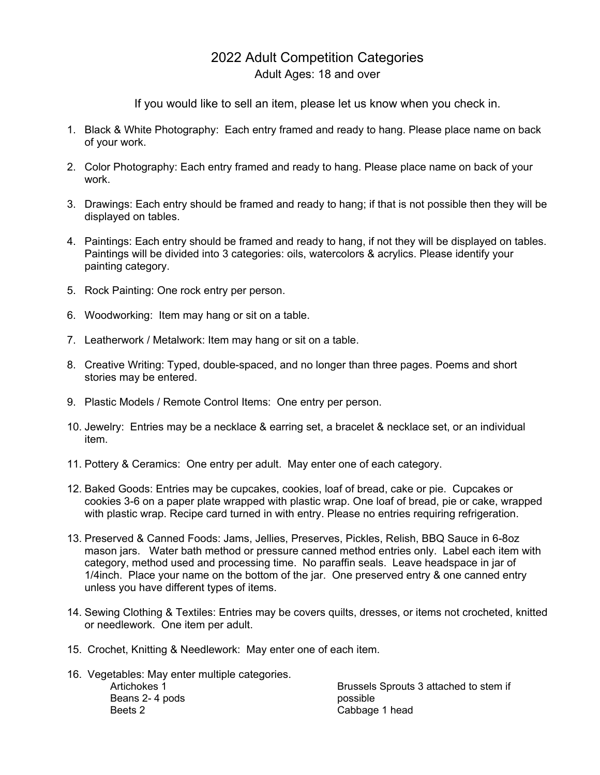## 2022 Adult Competition Categories Adult Ages: 18 and over

If you would like to sell an item, please let us know when you check in.

- 1. Black & White Photography: Each entry framed and ready to hang. Please place name on back of your work.
- 2. Color Photography: Each entry framed and ready to hang. Please place name on back of your work.
- 3. Drawings: Each entry should be framed and ready to hang; if that is not possible then they will be displayed on tables.
- 4. Paintings: Each entry should be framed and ready to hang, if not they will be displayed on tables. Paintings will be divided into 3 categories: oils, watercolors & acrylics. Please identify your painting category.
- 5. Rock Painting: One rock entry per person.
- 6. Woodworking: Item may hang or sit on a table.
- 7. Leatherwork / Metalwork: Item may hang or sit on a table.
- 8. Creative Writing: Typed, double-spaced, and no longer than three pages. Poems and short stories may be entered.
- 9. Plastic Models / Remote Control Items: One entry per person.
- 10. Jewelry: Entries may be a necklace & earring set, a bracelet & necklace set, or an individual item.
- 11. Pottery & Ceramics: One entry per adult. May enter one of each category.
- 12. Baked Goods: Entries may be cupcakes, cookies, loaf of bread, cake or pie. Cupcakes or cookies 3-6 on a paper plate wrapped with plastic wrap. One loaf of bread, pie or cake, wrapped with plastic wrap. Recipe card turned in with entry. Please no entries requiring refrigeration.
- 13. Preserved & Canned Foods: Jams, Jellies, Preserves, Pickles, Relish, BBQ Sauce in 6-8oz mason jars. Water bath method or pressure canned method entries only. Label each item with category, method used and processing time. No paraffin seals. Leave headspace in jar of 1/4inch. Place your name on the bottom of the jar. One preserved entry & one canned entry unless you have different types of items.
- 14. Sewing Clothing & Textiles: Entries may be covers quilts, dresses, or items not crocheted, knitted or needlework. One item per adult.
- 15. Crochet, Knitting & Needlework: May enter one of each item.

| 16. Vegetables: May enter multiple categories. |                                        |
|------------------------------------------------|----------------------------------------|
| Artichokes 1                                   | Brussels Sprouts 3 attached to stem if |
| Beans 2-4 pods                                 | possible                               |
| Beets 2                                        | Cabbage 1 head                         |